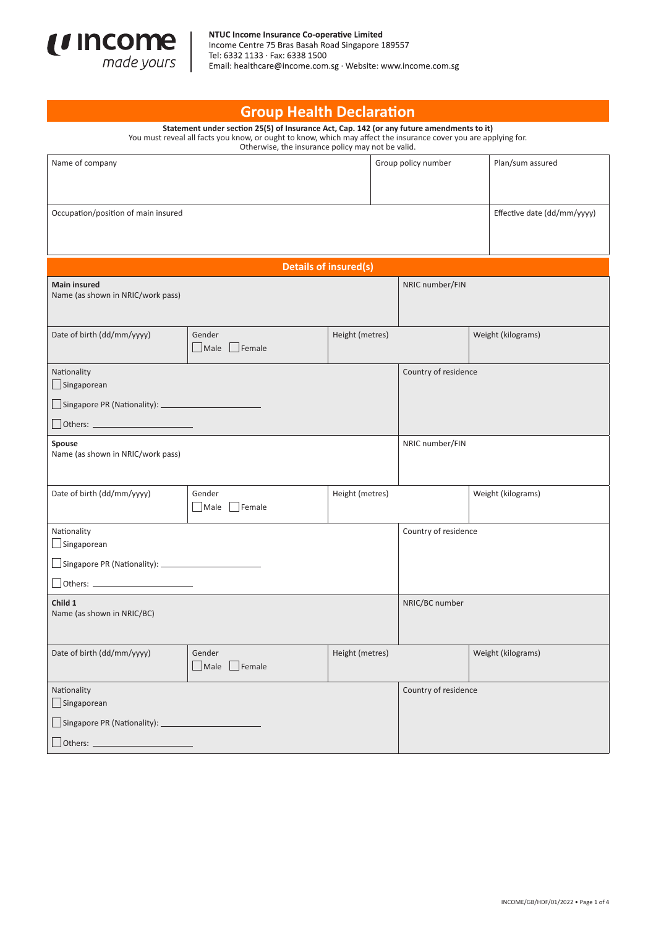

| <b>Group Health Declaration</b>                                                                                                                                                                                                                                    |                       |                 |                     |                      |                             |  |  |  |  |  |
|--------------------------------------------------------------------------------------------------------------------------------------------------------------------------------------------------------------------------------------------------------------------|-----------------------|-----------------|---------------------|----------------------|-----------------------------|--|--|--|--|--|
| Statement under section 25(5) of Insurance Act, Cap. 142 (or any future amendments to it)<br>You must reveal all facts you know, or ought to know, which may affect the insurance cover you are applying for.<br>Otherwise, the insurance policy may not be valid. |                       |                 |                     |                      |                             |  |  |  |  |  |
| Name of company                                                                                                                                                                                                                                                    |                       |                 | Group policy number |                      | Plan/sum assured            |  |  |  |  |  |
|                                                                                                                                                                                                                                                                    |                       |                 |                     |                      |                             |  |  |  |  |  |
| Occupation/position of main insured                                                                                                                                                                                                                                |                       |                 |                     |                      | Effective date (dd/mm/yyyy) |  |  |  |  |  |
|                                                                                                                                                                                                                                                                    |                       |                 |                     |                      |                             |  |  |  |  |  |
|                                                                                                                                                                                                                                                                    |                       |                 |                     |                      |                             |  |  |  |  |  |
| <b>Details of insured(s)</b>                                                                                                                                                                                                                                       |                       |                 |                     |                      |                             |  |  |  |  |  |
| <b>Main insured</b><br>Name (as shown in NRIC/work pass)                                                                                                                                                                                                           |                       |                 |                     | NRIC number/FIN      |                             |  |  |  |  |  |
|                                                                                                                                                                                                                                                                    |                       |                 |                     |                      |                             |  |  |  |  |  |
| Date of birth (dd/mm/yyyy)                                                                                                                                                                                                                                         | Gender                | Height (metres) |                     |                      | Weight (kilograms)          |  |  |  |  |  |
|                                                                                                                                                                                                                                                                    | Male Female           |                 |                     |                      |                             |  |  |  |  |  |
| Nationality<br>Singaporean                                                                                                                                                                                                                                         |                       |                 |                     | Country of residence |                             |  |  |  |  |  |
|                                                                                                                                                                                                                                                                    |                       |                 |                     |                      |                             |  |  |  |  |  |
|                                                                                                                                                                                                                                                                    |                       |                 |                     |                      |                             |  |  |  |  |  |
| Spouse<br>Name (as shown in NRIC/work pass)                                                                                                                                                                                                                        |                       |                 | NRIC number/FIN     |                      |                             |  |  |  |  |  |
|                                                                                                                                                                                                                                                                    |                       |                 |                     |                      |                             |  |  |  |  |  |
| Date of birth (dd/mm/yyyy)                                                                                                                                                                                                                                         | Gender                |                 | Height (metres)     |                      | Weight (kilograms)          |  |  |  |  |  |
|                                                                                                                                                                                                                                                                    | Male Female           |                 |                     |                      |                             |  |  |  |  |  |
| Nationality<br>Singaporean                                                                                                                                                                                                                                         |                       |                 |                     | Country of residence |                             |  |  |  |  |  |
| $\Box$ Singapore PR (Nationality): $\Box$                                                                                                                                                                                                                          |                       |                 |                     |                      |                             |  |  |  |  |  |
| $\begin{tabular}{c} Others: \end{tabular}$                                                                                                                                                                                                                         |                       |                 |                     |                      |                             |  |  |  |  |  |
| Child 1                                                                                                                                                                                                                                                            |                       |                 |                     | NRIC/BC number       |                             |  |  |  |  |  |
| Name (as shown in NRIC/BC)                                                                                                                                                                                                                                         |                       |                 |                     |                      |                             |  |  |  |  |  |
|                                                                                                                                                                                                                                                                    |                       |                 |                     |                      |                             |  |  |  |  |  |
| Date of birth (dd/mm/yyyy)                                                                                                                                                                                                                                         | Gender<br>Male Female | Height (metres) |                     |                      | Weight (kilograms)          |  |  |  |  |  |
| Nationality<br>$\Box$ Singaporean                                                                                                                                                                                                                                  |                       |                 |                     | Country of residence |                             |  |  |  |  |  |
| $\Box$ Singapore PR (Nationality): $\Box$                                                                                                                                                                                                                          |                       |                 |                     |                      |                             |  |  |  |  |  |
| $\Box$ Others: $\Box$                                                                                                                                                                                                                                              |                       |                 |                     |                      |                             |  |  |  |  |  |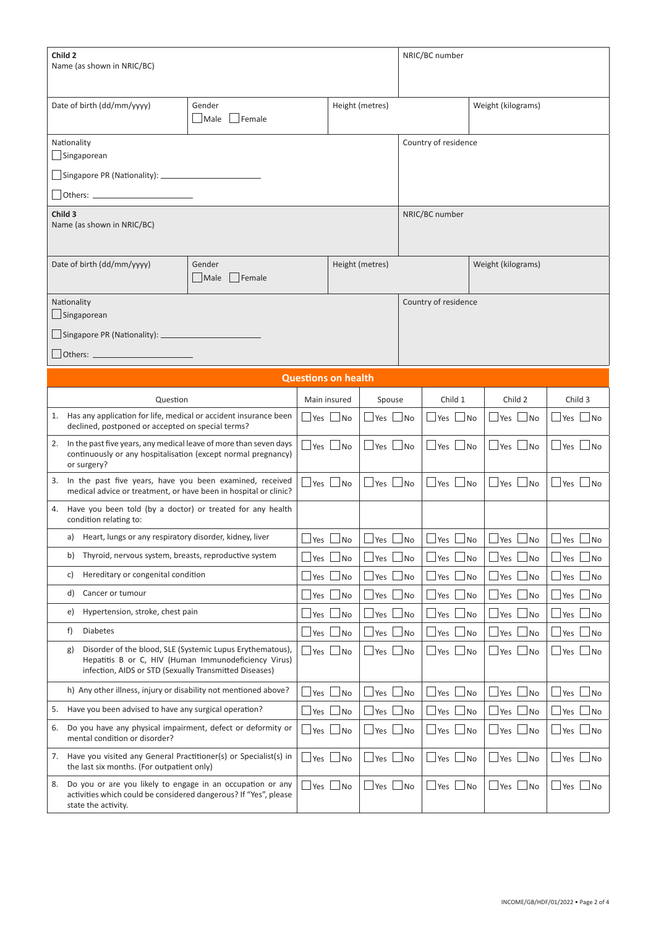| Child <sub>2</sub><br>Name (as shown in NRIC/BC)                                                                                                                                  |            |                                                  |                                                            | NRIC/BC number              |                                                           |                                   |  |  |  |  |
|-----------------------------------------------------------------------------------------------------------------------------------------------------------------------------------|------------|--------------------------------------------------|------------------------------------------------------------|-----------------------------|-----------------------------------------------------------|-----------------------------------|--|--|--|--|
| Date of birth (dd/mm/yyyy)<br>Gender<br>Male                                                                                                                                      | Female     |                                                  |                                                            | Weight (kilograms)          |                                                           |                                   |  |  |  |  |
| Nationality<br>Singaporean                                                                                                                                                        |            |                                                  |                                                            | Country of residence        |                                                           |                                   |  |  |  |  |
|                                                                                                                                                                                   |            |                                                  |                                                            |                             |                                                           |                                   |  |  |  |  |
|                                                                                                                                                                                   |            |                                                  |                                                            |                             |                                                           |                                   |  |  |  |  |
| Child 3<br>Name (as shown in NRIC/BC)                                                                                                                                             |            | NRIC/BC number                                   |                                                            |                             |                                                           |                                   |  |  |  |  |
| Date of birth (dd/mm/yyyy)<br>Gender<br>$ $ Male                                                                                                                                  | $ $ Female | Height (metres)                                  |                                                            | Weight (kilograms)          |                                                           |                                   |  |  |  |  |
| Nationality<br>Singaporean                                                                                                                                                        |            |                                                  |                                                            | Country of residence        |                                                           |                                   |  |  |  |  |
| Singapore PR (Nationality): _                                                                                                                                                     |            |                                                  |                                                            |                             |                                                           |                                   |  |  |  |  |
| Others:                                                                                                                                                                           |            |                                                  |                                                            |                             |                                                           |                                   |  |  |  |  |
| <b>Questions on health</b>                                                                                                                                                        |            |                                                  |                                                            |                             |                                                           |                                   |  |  |  |  |
| Question                                                                                                                                                                          |            | Main insured                                     | Child 1<br>Spouse                                          |                             | Child 2                                                   | Child 3                           |  |  |  |  |
| 1. Has any application for life, medical or accident insurance been<br>declined, postponed or accepted on special terms?                                                          |            | $\Box$ Yes $\Box$ No                             | ⊥Yes ∟No<br>$\Box$ Yes $\Box$ No                           |                             | Yes L<br>$\Box$ No                                        | $\Box$ Yes $\Box$ No              |  |  |  |  |
| In the past five years, any medical leave of more than seven days<br>2.<br>continuously or any hospitalisation (except normal pregnancy)<br>or surgery?                           |            | $Yes$ $No$                                       | $\Box$ Yes $\Box$ No<br>$\Box$ Yes $\Box$ No               |                             | $\sqcup$ Yes $\sqcup$ No                                  | $\Box$ Yes $\Box$ No              |  |  |  |  |
| In the past five years, have you been examined, received<br>3.<br>medical advice or treatment, or have been in hospital or clinic?                                                |            | $\Box$ Yes $\Box$ No<br>$\Box$ Yes $\Box$        | $\Box$ Yes<br>$\Box$ No                                    | $\Box$ No                   | $\sqcup$ Yes<br>$\Box$ No                                 | $\Box$ Yes<br>$\Box$ No           |  |  |  |  |
| Have you been told (by a doctor) or treated for any health<br>4.<br>condition relating to:                                                                                        |            |                                                  |                                                            |                             |                                                           |                                   |  |  |  |  |
| a) Heart, lungs or any respiratory disorder, kidney, liver                                                                                                                        |            | $\Box$ Yes $\Box$ No<br>$\Box$ Yes $\Box$ No     | $\Box$ Yes $\Box$ No                                       |                             | $\Box$ Yes $\Box$ No                                      | $\Box$ Yes $\Box$ No              |  |  |  |  |
| Thyroid, nervous system, breasts, reproductive system<br>b)                                                                                                                       |            | $\Box$ Yes $\Box$ No<br>$\Box$ Yes               | $\Box$ No<br>$\Box$ Yes                                    | ⊿No                         | $\Box$ No<br>⊿Yes                                         | $\Box$ Yes<br>$\Box$ No           |  |  |  |  |
| Hereditary or congenital condition<br>C)                                                                                                                                          |            | $\Box$ Yes<br>$\Box$ Yes $\Box$<br>⊿No           | $\Box$ Yes<br>$\Box$ No                                    | No                          | Yes<br>⊥No                                                | $\Box$ Yes<br>$\Box$ No           |  |  |  |  |
| d)<br>Cancer or tumour                                                                                                                                                            |            | $\Box$ Yes<br>$\overline{\phantom{a}}$ No<br>Yes | Yes<br><b>No</b>                                           | No                          | Yes<br>No.                                                | $\mathcal{A}$<br>$\Box$ No<br>Yes |  |  |  |  |
| Hypertension, stroke, chest pain<br>e)                                                                                                                                            |            | $\Box$ Yes $\bot$<br>$\Box$ No<br>$\Box$ Yes     | $\Box$ No<br>$\Box$ Yes                                    | $\overline{\phantom{a}}$ No | $\Box$ No<br> Yes                                         | $\Box$ No<br>$\Box$ Yes           |  |  |  |  |
| <b>Diabetes</b><br>f)                                                                                                                                                             |            | $\Box$ Yes<br>⊥No<br>Yes                         | <b>No</b><br>Yes                                           | No                          | ∫No<br>Yes                                                | ⊿No<br>Yes                        |  |  |  |  |
| Disorder of the blood, SLE (Systemic Lupus Erythematous),<br>g)<br>Hepatitis B or C, HIV (Human Immunodeficiency Virus)<br>infection, AIDS or STD (Sexually Transmitted Diseases) |            | $\Box$ Yes $\Box$ No                             | $\Box$ Yes $\Box$ No<br>$\Box$ Yes                         | $\Box$ No                   | $\sqcup$ Yes $\sqcup$ No                                  | $\Box$ No<br>$\Box$ Yes           |  |  |  |  |
| h) Any other illness, injury or disability not mentioned above?                                                                                                                   |            | $\Box$ Yes $\Box$<br>$\Box$ No<br>Yes            | $\overline{\phantom{a}}$ No<br>Yes                         | No.                         | $\mathsf{\mathsf{J}}$ No<br>Yes                           | $\Box$ No<br>a i<br>Yes           |  |  |  |  |
| Have you been advised to have any surgical operation?<br>5.                                                                                                                       |            | $\Box$ Yes $\bot$<br>$\Box$ No                   | $\Box$ Yes<br>Yes No                                       | ⊿No                         | Yes  <br>$\Box$ No                                        | $\Box$ Yes<br>$\Box$ No           |  |  |  |  |
| Do you have any physical impairment, defect or deformity or<br>6.<br>mental condition or disorder?                                                                                |            | $\Box$ Yes $\Box$ No                             | $\Box$ Yes $\Box$ No<br>$\Box$ Yes                         | $\overline{\phantom{a}}$ No | $\mathbin{\sqcup}$ Yes $\mathbin{\parallel}$<br>$\Box$ No | $\Box$ Yes<br>$\Box$ No           |  |  |  |  |
| 7. Have you visited any General Practitioner(s) or Specialist(s) in<br>the last six months. (For outpatient only)                                                                 |            | $\Box$ Yes $\Box$ No                             | $\Box$ Yes $\Box$ No<br>$\Box$ Yes $\Box$ No               |                             | _ Yes ∟No                                                 | $\Box$ Yes $\Box$ No              |  |  |  |  |
| Do you or are you likely to engage in an occupation or any<br>8.<br>activities which could be considered dangerous? If "Yes", please<br>state the activity.                       |            | $\Box$ Yes $\Box$ No                             | $\Box$ Yes $\Box$ No<br>$\sqcup$ Yes $\mathop{\downarrow}$ | $\Box$ No                   | $\Box$ No<br>⊿Yes l                                       | $\Box$ Yes $\Box$<br>$\Box$ No    |  |  |  |  |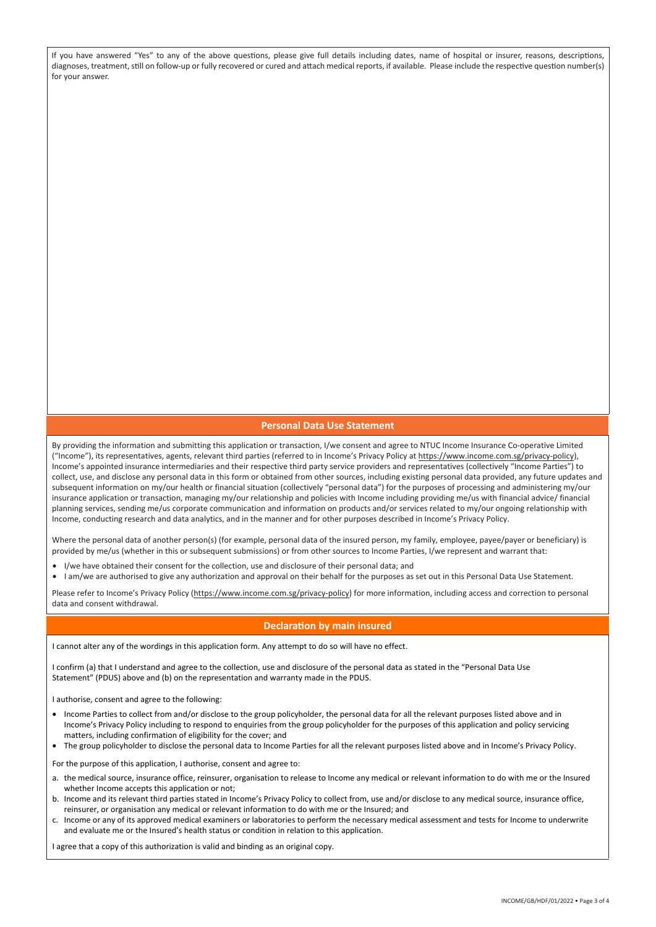If you have answered "Yes" to any of the above questions, please give full details including dates, name of hospital or insurer, reasons, descriptions, diagnoses, treatment, still on follow-up or fully recovered or cured and attach medical reports, if available. Please include the respective question number(s) for your answer.

## **Personal Data Use Statement**

By providing the information and submitting this application or transaction, I/we consent and agree to NTUC Income Insurance Co-operative Limited ("Income"), its representatives, agents, relevant third parties (referred to in Income's Privacy Policy at https://www.income.com.sg/privacy-policy), Income's appointed insurance intermediaries and their respective third party service providers and representatives (collectively "Income Parties") to collect, use, and disclose any personal data in this form or obtained from other sources, including existing personal data provided, any future updates and subsequent information on my/our health or financial situation (collectively "personal data") for the purposes of processing and administering my/our insurance application or transaction, managing my/our relationship and policies with Income including providing me/us with financial advice/ financial planning services, sending me/us corporate communication and information on products and/or services related to my/our ongoing relationship with Income, conducting research and data analytics, and in the manner and for other purposes described in Income's Privacy Policy.

Where the personal data of another person(s) (for example, personal data of the insured person, my family, employee, payee/payer or beneficiary) is provided by me/us (whether in this or subsequent submissions) or from other sources to Income Parties, I/we represent and warrant that:

- I/we have obtained their consent for the collection, use and disclosure of their personal data; and
- I am/we are authorised to give any authorization and approval on their behalf for the purposes as set out in this Personal Data Use Statement.

Please refer to Income's Privacy Policy (https://www.income.com.sg/privacy-policy) for more information, including access and correction to personal data and consent withdrawal.

## **Declaration by main insured**

I cannot alter any of the wordings in this application form. Any attempt to do so will have no effect.

I confirm (a) that I understand and agree to the collection, use and disclosure of the personal data as stated in the "Personal Data Use Statement" (PDUS) above and (b) on the representation and warranty made in the PDUS.

I authorise, consent and agree to the following:

- Income Parties to collect from and/or disclose to the group policyholder, the personal data for all the relevant purposes listed above and in Income's Privacy Policy including to respond to enquiries from the group policyholder for the purposes of this application and policy servicing matters, including confirmation of eligibility for the cover; and
- The group policyholder to disclose the personal data to Income Parties for all the relevant purposes listed above and in Income's Privacy Policy.

For the purpose of this application, I authorise, consent and agree to:

- a. the medical source, insurance office, reinsurer, organisation to release to Income any medical or relevant information to do with me or the Insured whether Income accepts this application or not;
- b. Income and its relevant third parties stated in Income's Privacy Policy to collect from, use and/or disclose to any medical source, insurance office, reinsurer, or organisation any medical or relevant information to do with me or the Insured; and
- c. Income or any of its approved medical examiners or laboratories to perform the necessary medical assessment and tests for Income to underwrite and evaluate me or the Insured's health status or condition in relation to this application.

I agree that a copy of this authorization is valid and binding as an original copy.